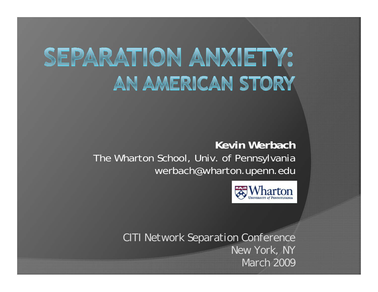# SEPARATION ANXIETY: AN AMERICAN STORY

**Kevin Werbach**The Wharton School, Univ. of Pennsylvania werbach@wharton.upenn.edu



*CITI Network Separation Conference New York, NY March 2009*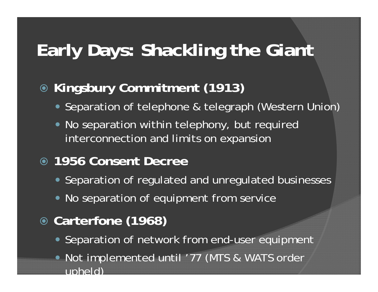# **Early Days: Shackling the Giant**

### **Kingsbury Commitment (1913)**

- Separation of telephone & telegraph (Western Union)
- No separation within telephony, but required interconnection and limits on expansion

### **1956 Consent Decree**

- Separation of regulated and unregulated businesses
- No separation of equipment from service
- **Carterfone (1968)**
	- Separation of network from end-user equipment
	- Not implemented until '77 (MTS & WATS order upheld)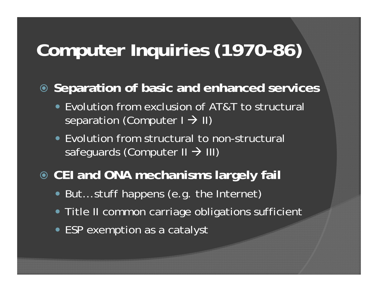# **Computer Inquiries (1970-86)**

**Separation of basic and enhanced services**

- Evolution from exclusion of AT&T to structural separation (Computer I  $\rightarrow$  II)
- Evolution from structural to non-structural safeguards (Computer II  $\rightarrow$  III)

#### **CEI and ONA mechanisms largely fail**

- But... stuff happens (e.g. the Internet)
- Title II common carriage obligations sufficient
- ESP exemption as a catalyst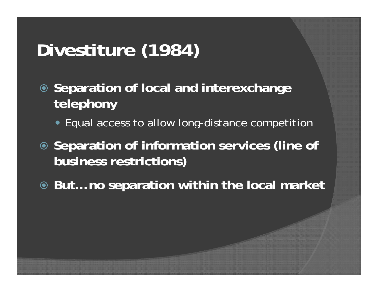# **Divestiture (1984)**

- **Separation of local and interexchange telephony**
	- Equal access to allow long-distance competition
- **Separation of information services (line of business restrictions)**
- **But… no separation within the local market**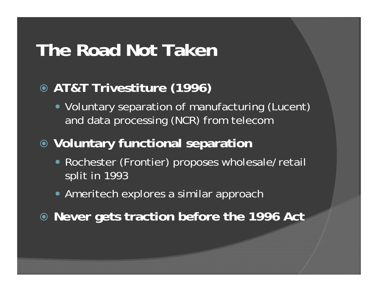### **The Road Not Taken**

### **AT&T Trivestiture (1996)**

• Voluntary separation of manufacturing (Lucent) and data processing (NCR) from telecom

### **Voluntary functional separation**

- Rochester (Frontier) proposes wholesale/retail split in 1993
- Ameritech explores a similar approach
- **Never gets traction before the 1996 Act**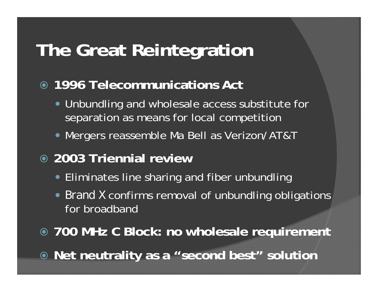## **The Great Reintegration**

### **1996 Telecommunications Act**

- Unbundling and wholesale access substitute for separation as means for local competition
- Mergers reassemble Ma Bell as Verizon/AT&T
- **2003 Triennial review**
	- Eliminates line sharing and fiber unbundling
	- *Brand X* confirms removal of unbundling obligations for broadband
- **700 MHz C Block: no wholesale requirement**
- **Net neutrality as a "second best" solution**